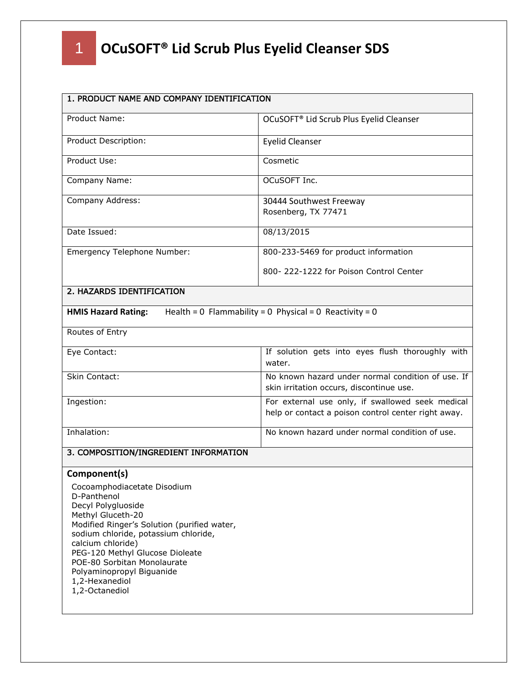| 1. PRODUCT NAME AND COMPANY IDENTIFICATION                                                                                                                                                                                                                                                                                           |                                                                                                         |
|--------------------------------------------------------------------------------------------------------------------------------------------------------------------------------------------------------------------------------------------------------------------------------------------------------------------------------------|---------------------------------------------------------------------------------------------------------|
| Product Name:                                                                                                                                                                                                                                                                                                                        | OCuSOFT <sup>®</sup> Lid Scrub Plus Eyelid Cleanser                                                     |
| Product Description:                                                                                                                                                                                                                                                                                                                 | <b>Eyelid Cleanser</b>                                                                                  |
| Product Use:                                                                                                                                                                                                                                                                                                                         | Cosmetic                                                                                                |
| Company Name:                                                                                                                                                                                                                                                                                                                        | OCuSOFT Inc.                                                                                            |
| Company Address:                                                                                                                                                                                                                                                                                                                     | 30444 Southwest Freeway<br>Rosenberg, TX 77471                                                          |
| Date Issued:                                                                                                                                                                                                                                                                                                                         | 08/13/2015                                                                                              |
| Emergency Telephone Number:                                                                                                                                                                                                                                                                                                          | 800-233-5469 for product information                                                                    |
|                                                                                                                                                                                                                                                                                                                                      | 800-222-1222 for Poison Control Center                                                                  |
| 2. HAZARDS IDENTIFICATION                                                                                                                                                                                                                                                                                                            |                                                                                                         |
| <b>HMIS Hazard Rating:</b>                                                                                                                                                                                                                                                                                                           | Health = $0$ Flammability = $0$ Physical = $0$ Reactivity = $0$                                         |
| Routes of Entry                                                                                                                                                                                                                                                                                                                      |                                                                                                         |
| Eye Contact:                                                                                                                                                                                                                                                                                                                         | If solution gets into eyes flush thoroughly with<br>water.                                              |
| Skin Contact:                                                                                                                                                                                                                                                                                                                        | No known hazard under normal condition of use. If<br>skin irritation occurs, discontinue use.           |
| Ingestion:                                                                                                                                                                                                                                                                                                                           | For external use only, if swallowed seek medical<br>help or contact a poison control center right away. |
| Inhalation:                                                                                                                                                                                                                                                                                                                          | No known hazard under normal condition of use.                                                          |
| 3. COMPOSITION/INGREDIENT INFORMATION                                                                                                                                                                                                                                                                                                |                                                                                                         |
| Component(s)                                                                                                                                                                                                                                                                                                                         |                                                                                                         |
| Cocoamphodiacetate Disodium<br>D-Panthenol<br>Decyl Polygluoside<br>Methyl Gluceth-20<br>Modified Ringer's Solution (purified water,<br>sodium chloride, potassium chloride,<br>calcium chloride)<br>PEG-120 Methyl Glucose Dioleate<br>POE-80 Sorbitan Monolaurate<br>Polyaminopropyl Biguanide<br>1,2-Hexanediol<br>1,2-Octanediol |                                                                                                         |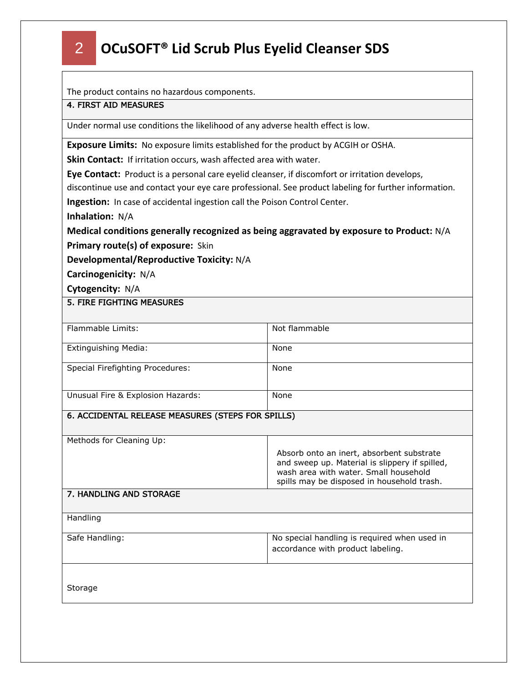The product contains no hazardous components.

### 4. FIRST AID MEASURES

Under normal use conditions the likelihood of any adverse health effect is low.

**Exposure Limits:** No exposure limits established for the product by ACGIH or OSHA.

**Skin Contact:** If irritation occurs, wash affected area with water.

**Eye Contact:** Product is a personal care eyelid cleanser, if discomfort or irritation develops,

discontinue use and contact your eye care professional. See product labeling for further information.

**Ingestion:** In case of accidental ingestion call the Poison Control Center.

**Inhalation:** N/A

**Medical conditions generally recognized as being aggravated by exposure to Product:** N/A **Primary route(s) of exposure:** Skin

**Developmental/Reproductive Toxicity:** N/A

**Carcinogenicity:** N/A

**Cytogencity:** N/A

#### 5. FIRE FIGHTING MEASURES

| Flammable Limits:                 | Not flammable |
|-----------------------------------|---------------|
| Extinguishing Media:              | None          |
| Special Firefighting Procedures:  | None          |
| Unusual Fire & Explosion Hazards: | None          |

#### 6. ACCIDENTAL RELEASE MEASURES (STEPS FOR SPILLS)

Methods for Cleaning Up:

| Absorb onto an inert, absorbent substrate<br>and sweep up. Material is slippery if spilled,<br>wash area with water. Small household<br>spills may be disposed in household trash. |
|------------------------------------------------------------------------------------------------------------------------------------------------------------------------------------|
|                                                                                                                                                                                    |

#### 7. HANDLING AND STORAGE

| Handling |  |
|----------|--|
|          |  |

| Safe Handling: | No special handling is required when used in |
|----------------|----------------------------------------------|
|                | accordance with product labeling.            |
|                |                                              |

Storage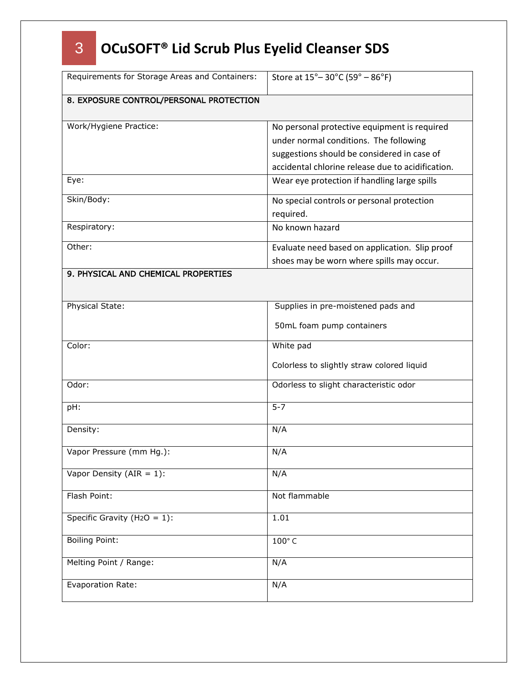| Requirements for Storage Areas and Containers: | Store at 15° - 30°C (59° - 86°F)                                                                                                                                                           |
|------------------------------------------------|--------------------------------------------------------------------------------------------------------------------------------------------------------------------------------------------|
| 8. EXPOSURE CONTROL/PERSONAL PROTECTION        |                                                                                                                                                                                            |
| Work/Hygiene Practice:                         | No personal protective equipment is required<br>under normal conditions. The following<br>suggestions should be considered in case of<br>accidental chlorine release due to acidification. |
| Eye:                                           | Wear eye protection if handling large spills                                                                                                                                               |
| Skin/Body:                                     | No special controls or personal protection<br>required.                                                                                                                                    |
| Respiratory:                                   | No known hazard                                                                                                                                                                            |
| Other:                                         | Evaluate need based on application. Slip proof<br>shoes may be worn where spills may occur.                                                                                                |
| 9. PHYSICAL AND CHEMICAL PROPERTIES            |                                                                                                                                                                                            |
| Physical State:                                | Supplies in pre-moistened pads and                                                                                                                                                         |
|                                                | 50mL foam pump containers                                                                                                                                                                  |
| Color:                                         | White pad                                                                                                                                                                                  |
|                                                | Colorless to slightly straw colored liquid                                                                                                                                                 |
| Odor:                                          | Odorless to slight characteristic odor                                                                                                                                                     |
| pH:                                            | $5 - 7$                                                                                                                                                                                    |
| Density:                                       | N/A                                                                                                                                                                                        |
| Vapor Pressure (mm Hg.):                       | N/A                                                                                                                                                                                        |
| Vapor Density (AIR = $1$ ):                    | N/A                                                                                                                                                                                        |
| Flash Point:                                   | Not flammable                                                                                                                                                                              |
| Specific Gravity (H <sub>2</sub> O = 1):       | 1.01                                                                                                                                                                                       |
| <b>Boiling Point:</b>                          | 100°C                                                                                                                                                                                      |
| Melting Point / Range:                         | N/A                                                                                                                                                                                        |
| Evaporation Rate:                              | N/A                                                                                                                                                                                        |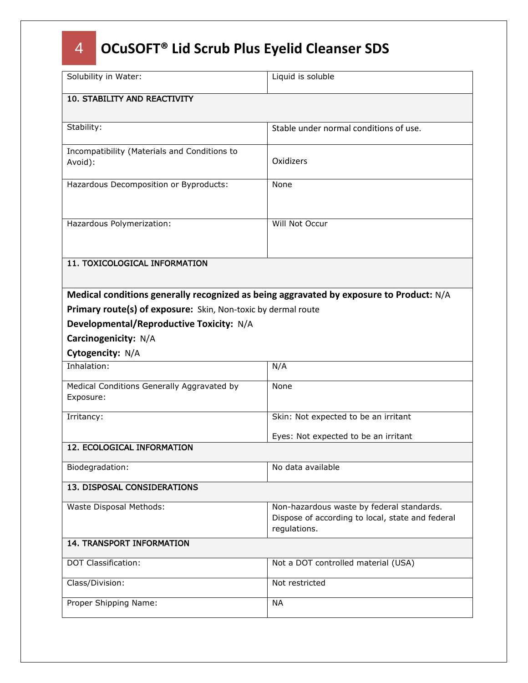| Solubility in Water:                                                                    | Liquid is soluble                                                                                             |
|-----------------------------------------------------------------------------------------|---------------------------------------------------------------------------------------------------------------|
| 10. STABILITY AND REACTIVITY                                                            |                                                                                                               |
|                                                                                         |                                                                                                               |
| Stability:                                                                              | Stable under normal conditions of use.                                                                        |
| Incompatibility (Materials and Conditions to<br>Avoid):                                 | Oxidizers                                                                                                     |
| Hazardous Decomposition or Byproducts:                                                  | None                                                                                                          |
| Hazardous Polymerization:                                                               | Will Not Occur                                                                                                |
| 11. TOXICOLOGICAL INFORMATION                                                           |                                                                                                               |
| Medical conditions generally recognized as being aggravated by exposure to Product: N/A |                                                                                                               |
| Primary route(s) of exposure: Skin, Non-toxic by dermal route                           |                                                                                                               |
| Developmental/Reproductive Toxicity: N/A                                                |                                                                                                               |
| Carcinogenicity: N/A                                                                    |                                                                                                               |
| Cytogencity: N/A                                                                        |                                                                                                               |
| Inhalation:                                                                             | N/A                                                                                                           |
| Medical Conditions Generally Aggravated by<br>Exposure:                                 | None                                                                                                          |
| Irritancy:                                                                              | Skin: Not expected to be an irritant                                                                          |
|                                                                                         | Eyes: Not expected to be an irritant                                                                          |
| 12. ECOLOGICAL INFORMATION                                                              |                                                                                                               |
| Biodegradation:                                                                         | No data available                                                                                             |
| 13. DISPOSAL CONSIDERATIONS                                                             |                                                                                                               |
| Waste Disposal Methods:                                                                 | Non-hazardous waste by federal standards.<br>Dispose of according to local, state and federal<br>regulations. |
| <b>14. TRANSPORT INFORMATION</b>                                                        |                                                                                                               |
| <b>DOT Classification:</b>                                                              | Not a DOT controlled material (USA)                                                                           |
| Class/Division:                                                                         | Not restricted                                                                                                |
| Proper Shipping Name:                                                                   | <b>NA</b>                                                                                                     |